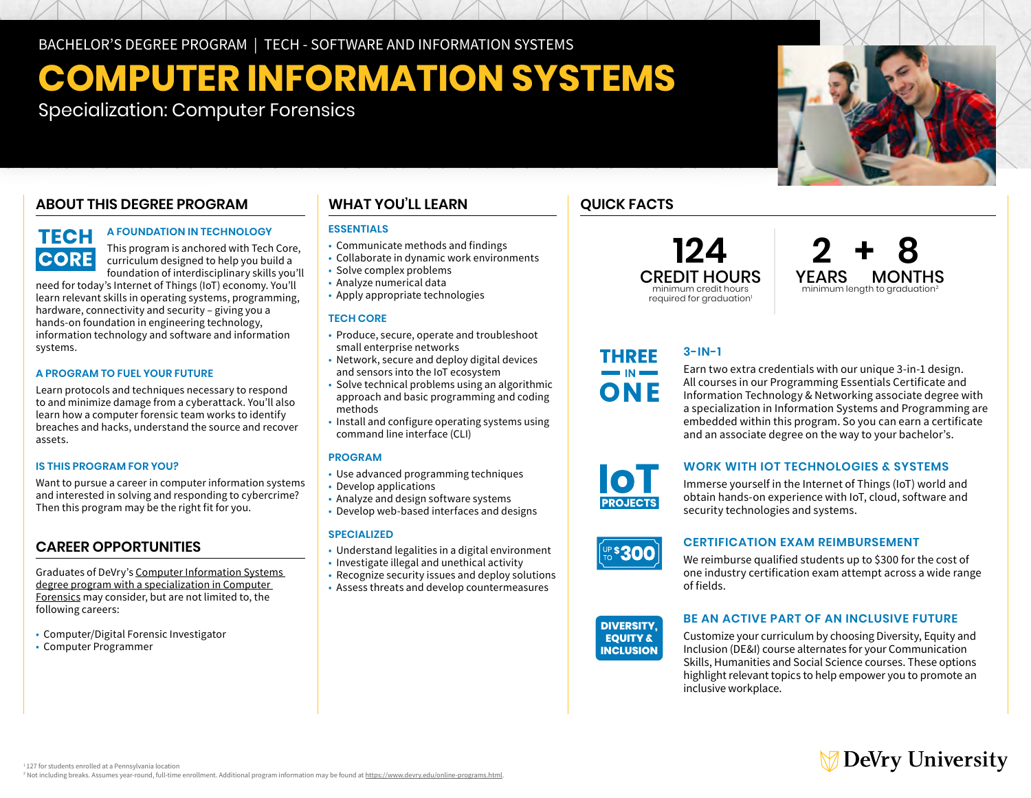BACHELOR'S DEGREE PROGRAM | TECH - SOFTWARE AND INFORMATION SYSTEMS

# **COMPUTER INFORMATION SYSTEMS**

Specialization: Computer Forensics

## **ABOUT THIS DEGREE PROGRAM**

# **TECH CORE**

### **A FOUNDATION IN TECHNOLOGY**

This program is anchored with Tech Core, curriculum designed to help you build a foundation of interdisciplinary skills you'll

need for today's Internet of Things (IoT) economy. You'll learn relevant skills in operating systems, programming, hardware, connectivity and security – giving you a hands-on foundation in engineering technology, information technology and software and information systems.

#### **A PROGRAM TO FUEL YOUR FUTURE**

Learn protocols and techniques necessary to respond to and minimize damage from a cyberattack. You'll also learn how a computer forensic team works to identify breaches and hacks, understand the source and recover assets.

#### **IS THIS PROGRAM FOR YOU?**

Want to pursue a career in computer information systems and interested in solving and responding to cybercrime? Then this program may be the right fit for you.

# **CAREER OPPORTUNITIES**

Graduates of DeVry's [Computer Information Systems](https://www.devry.edu/online-programs/bachelors-degrees/computer-information-systems/computer-forensics-specialization.html)  [degree program with a specialization in Computer](https://www.devry.edu/online-programs/bachelors-degrees/computer-information-systems/computer-forensics-specialization.html)  [Forensics](https://www.devry.edu/online-programs/bachelors-degrees/computer-information-systems/computer-forensics-specialization.html) may consider, but are not limited to, the following careers:

- Computer/Digital Forensic Investigator
- Computer Programmer

### **WHAT YOU'LL LEARN**

#### **ESSENTIALS**

- Communicate methods and findings
- Collaborate in dynamic work environments
- Solve complex problems • Analyze numerical data
- Apply appropriate technologies

#### **TECH CORE**

- Produce, secure, operate and troubleshoot small enterprise networks
- Network, secure and deploy digital devices and sensors into the IoT ecosystem
- Solve technical problems using an algorithmic approach and basic programming and coding methods
- Install and configure operating systems using command line interface (CLI)

#### **PROGRAM**

- Use advanced programming techniques
- Develop applications
- Analyze and design software systems
- Develop web-based interfaces and designs

#### **SPECIALIZED**

- Understand legalities in a digital environment
- Investigate illegal and unethical activity
- Recognize security issues and deploy solutions
- Assess threats and develop countermeasures

# **QUICK FACTS**

**124** CREDIT HOURS minimum credit hours required for graduation<sup>1</sup>



#### **3-IN-1** THREE

Earn two extra credentials with our unique 3-in-1 design. All courses in our Programming Essentials Certificate and Information Technology & Networking associate degree with a specialization in Information Systems and Programming are embedded within this program. So you can earn a certificate and an associate degree on the way to your bachelor's.



 $\blacksquare$  IN  $\blacksquare$ ONE

#### **WORK WITH IOT TECHNOLOGIES & SYSTEMS**

Immerse yourself in the Internet of Things (IoT) world and obtain hands-on experience with IoT, cloud, software and security technologies and systems.



#### **CERTIFICATION EXAM REIMBURSEMENT**

We reimburse qualified students up to \$300 for the cost of one industry certification exam attempt across a wide range of fields.



#### **BE AN ACTIVE PART OF AN INCLUSIVE FUTURE**

Customize your curriculum by choosing Diversity, Equity and Inclusion (DE&I) course alternates for your Communication Skills, Humanities and Social Science courses. These options highlight relevant topics to help empower you to promote an inclusive workplace.